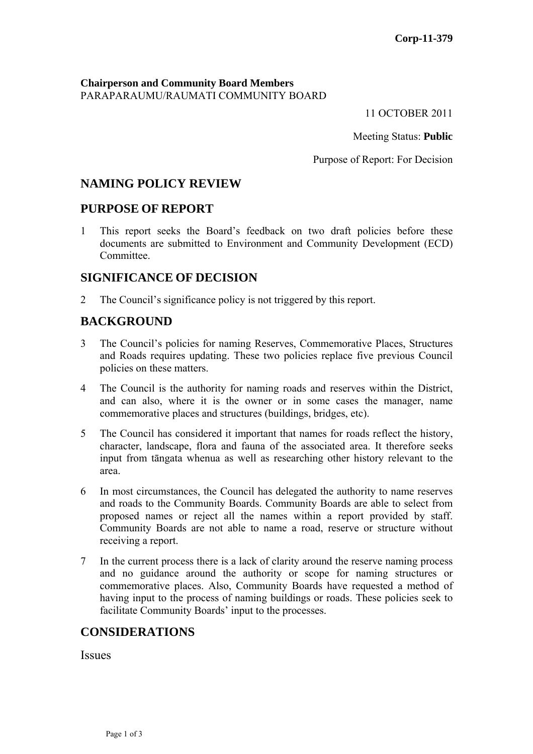PARAPARAUMU/RAUMATI COMMUNITY BOARD **Chairperson and Community Board Members**

11 OCTOBER 2011

Meeting Status: Public

Purpose of Report: For Decision

# **NAMING POLICY REVIEW**

### **PURPOSE OF REPORT**

1 This report seeks the Board's feedback on two draft policies before these documents are submitted to Environment and Community Development (ECD) Committee.

# **E OF DECISION SIGNIFICANC**

2 The Council's significance policy is not triggered by this report.

### **BACKGROUND**

- 3 The Council's policies for naming Reserves, Commemorative Places, Structures and Roads requires updating. These two policies replace five previous Council policies on these matters.
- 4 The Council is the authority for naming roads and reserves within the District, and can also, where it is the owner or in some cases the manager, name commemorative places and structures (buildings, bridges, etc).
- 5 The Council has considered it important that names for roads reflect the history, character, landscape, flora and fauna of the associated area. It therefore seeks input from tāngata whenua as well as researching other history relevant to the area.
- 6 In most circumstances, the Council has delegated the authority to name reserves and roads to the Community Boards. Community Boards are able to select from proposed names or reject all the names within a report provided by staff. Community Boards are not able to name a road, reserve or structure without receiving a report.
- 7 In the current process there is a lack of clarity around the reserve naming process and no guidance around the authority or scope for naming structures or commemorative places. Also, Community Boards have requested a method of having input to the process of naming buildings or roads. These policies seek to facilitate Community Boards' input to the processes.

### **CONSIDERATIONS**

Issues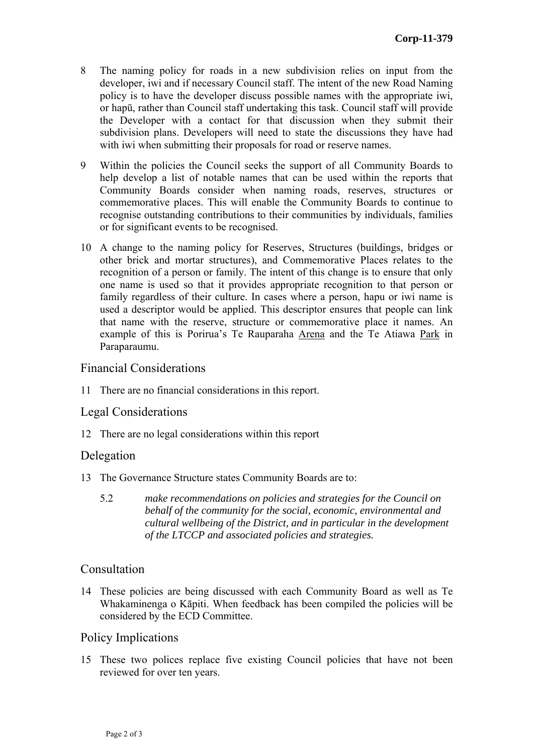- 8 The naming policy for roads in a new subdivision relies on input from the developer, iwi and if necessary Council staff. The intent of the new Roa d Naming policy is to have the developer discuss possible names with the appro priate iwi, or hapū, rather than Council staff undertaking this task. Council staff wi ll provide the Developer with a contact for that discussion when they sub mit their subdivision plans. Developers will need to state the disc ussions they have had with iwi when submitting their proposals for road or reserve names.
- 9 Within the policies the Council seeks the support of all Community Boards to help develop a list of notable names that can be used within the reports that Community Boards consider when naming roads, reserves, structures or commemorative places. This will enable the Community Boards to continue to recognise outstanding contributions to their communities by individuals, families or for significant events to be recognised.
- 10 A change to the naming policy for Reserves, Structures (buildings, bridges or other brick and mortar structures), and Commemorative Places relates to the recognition of a person or family. The intent of this change is to ensure that only one name is used so that it provides appropriate recognition to that person or family regardless of their culture. In cases where a person, hapu or iwi name is used a descriptor would be applied. This descriptor ensures that people can link that name with the reserve, structure or commemorative place it names. An example of this is Porirua's Te Rauparaha Arena and the Te Atiawa Park in Paraparaumu.

### Financial Considerations

11 There are no financial considerations in this report.

### Legal Considerations

12 There are no legal considerations within this report

### Delegatio n

- 13 The Governance Structure states Community Boards are to:
	- *make recommendations on policies and strategies for the Council on behalf of the community for the social, economic, environmental and cultural wellbeing of the District, and in particular in the development* 5.2 *of the LTCCP and associated policies and strategies.*

### Consultation

14 These policies are being discussed with each Community Board as well as Te Whakaminenga o Kāpiti. When feedback has been compiled the policies will be considered by the ECD Committee.

### Policy Implications

15 These two polices replace five existing Council policies that have not been reviewed for over ten years.